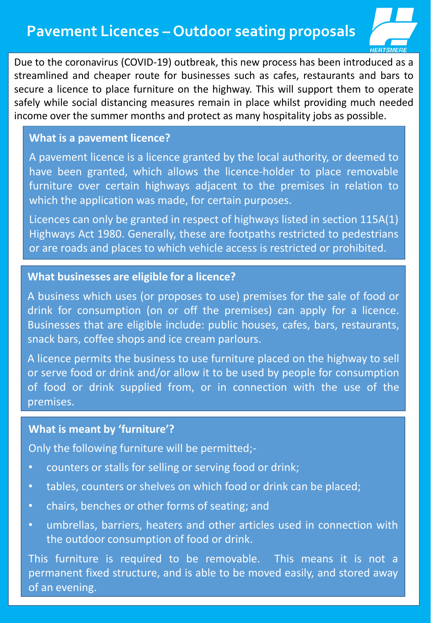# **Pavement Licences – Outdoor seating proposals**



Due to the coronavirus (COVID-19) outbreak, this new process has been introduced as a streamlined and cheaper route for businesses such as cafes, restaurants and bars to secure a licence to place furniture on the highway. This will support them to operate safely while social distancing measures remain in place whilst providing much needed income over the summer months and protect as many hospitality jobs as possible.

# **What is a pavement licence?**

A pavement licence is a licence granted by the local authority, or deemed to have been granted, which allows the licence-holder to place removable furniture over certain highways adjacent to the premises in relation to which the application was made, for certain purposes.

Licences can only be granted in respect of highways listed in section 115A(1) Highways Act 1980. Generally, these are footpaths restricted to pedestrians or are roads and places to which vehicle access is restricted or prohibited.

#### **What businesses are eligible for a licence?**

A business which uses (or proposes to use) premises for the sale of food or drink for consumption (on or off the premises) can apply for a licence. Businesses that are eligible include: public houses, cafes, bars, restaurants, snack bars, coffee shops and ice cream parlours.

A licence permits the business to use furniture placed on the highway to sell or serve food or drink and/or allow it to be used by people for consumption of food or drink supplied from, or in connection with the use of the premises.

### **What is meant by 'furniture'?**

Only the following furniture will be permitted;-

- counters or stalls for selling or serving food or drink;
- tables, counters or shelves on which food or drink can be placed;
- chairs, benches or other forms of seating; and
- umbrellas, barriers, heaters and other articles used in connection with the outdoor consumption of food or drink.

This furniture is required to be removable. This means it is not a permanent fixed structure, and is able to be moved easily, and stored away of an evening.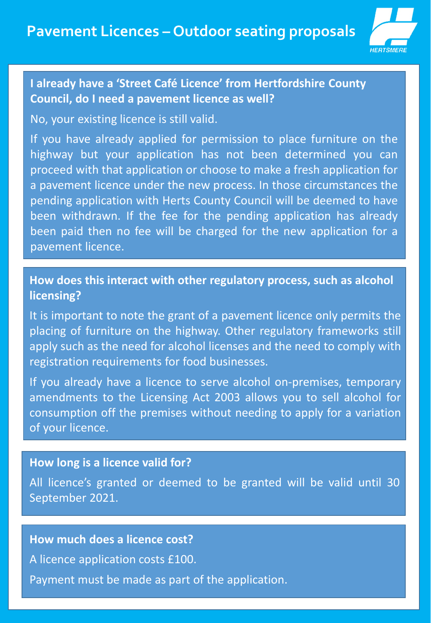

# **I already have a 'Street Café Licence' from Hertfordshire County Council, do I need a pavement licence as well?**

No, your existing licence is still valid.

If you have already applied for permission to place furniture on the highway but your application has not been determined you can proceed with that application or choose to make a fresh application for a pavement licence under the new process. In those circumstances the pending application with Herts County Council will be deemed to have been withdrawn. If the fee for the pending application has already been paid then no fee will be charged for the new application for a pavement licence.

**How does this interact with other regulatory process, such as alcohol licensing?**

It is important to note the grant of a pavement licence only permits the placing of furniture on the highway. Other regulatory frameworks still apply such as the need for alcohol licenses and the need to comply with registration requirements for food businesses.

If you already have a licence to serve alcohol on-premises, temporary amendments to the Licensing Act 2003 allows you to sell alcohol for consumption off the premises without needing to apply for a variation of your licence.

### **How long is a licence valid for?**

All licence's granted or deemed to be granted will be valid until 30 September 2021.

### **How much does a licence cost?**

A licence application costs £100.

Payment must be made as part of the application.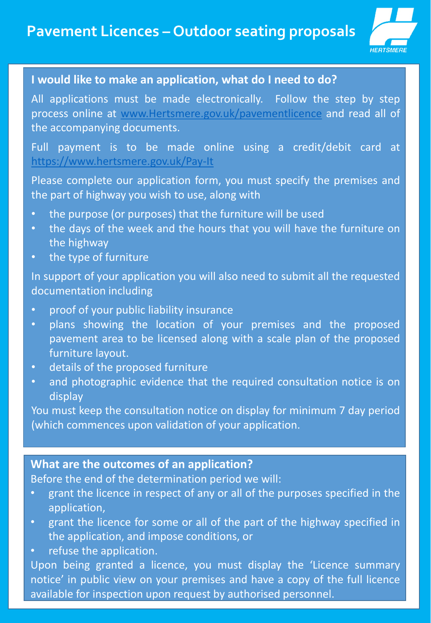

# **I would like to make an application, what do I need to do?**

All applications must be made electronically. Follow the step by step process online at [www.Hertsmere.gov.uk/pavementlicence](http://www.hertsmere.gov.uk/pavementlicence) and read all of the accompanying documents.

Full payment is to be made online using a credit/debit card at <https://www.hertsmere.gov.uk/Pay-It>

Please complete our application form, you must specify the premises and the part of highway you wish to use, along with

- the purpose (or purposes) that the furniture will be used
- the days of the week and the hours that you will have the furniture on the highway
- the type of furniture

In support of your application you will also need to submit all the requested documentation including

- proof of your public liability insurance
- plans showing the location of your premises and the proposed pavement area to be licensed along with a scale plan of the proposed furniture layout.
- details of the proposed furniture
- and photographic evidence that the required consultation notice is on display

You must keep the consultation notice on display for minimum 7 day period (which commences upon validation of your application.

## **What are the outcomes of an application?**

Before the end of the determination period we will:

- grant the licence in respect of any or all of the purposes specified in the application,
- grant the licence for some or all of the part of the highway specified in the application, and impose conditions, or
- refuse the application.

Upon being granted a licence, you must display the 'Licence summary notice' in public view on your premises and have a copy of the full licence available for inspection upon request by authorised personnel.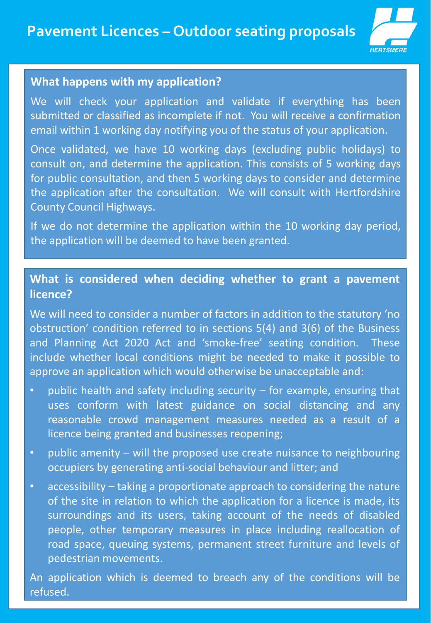

#### **What happens with my application?**

We will check your application and validate if everything has been submitted or classified as incomplete if not. You will receive a confirmation email within 1 working day notifying you of the status of your application.

Once validated, we have 10 working days (excluding public holidays) to consult on, and determine the application. This consists of 5 working days for public consultation, and then 5 working days to consider and determine the application after the consultation. We will consult with Hertfordshire County Council Highways.

If we do not determine the application within the 10 working day period, the application will be deemed to have been granted.

# **What is considered when deciding whether to grant a pavement licence?**

We will need to consider a number of factors in addition to the statutory 'no obstruction' condition referred to in sections 5(4) and 3(6) of the Business and Planning Act 2020 Act and 'smoke-free' seating condition. These include whether local conditions might be needed to make it possible to approve an application which would otherwise be unacceptable and:

- public health and safety including security  $-$  for example, ensuring that uses conform with latest guidance on social distancing and any reasonable crowd management measures needed as a result of a licence being granted and businesses reopening;
- public amenity will the proposed use create nuisance to neighbouring occupiers by generating anti-social behaviour and litter; and
- accessibility taking a proportionate approach to considering the nature of the site in relation to which the application for a licence is made, its surroundings and its users, taking account of the needs of disabled people, other temporary measures in place including reallocation of road space, queuing systems, permanent street furniture and levels of pedestrian movements.

An application which is deemed to breach any of the conditions will be refused.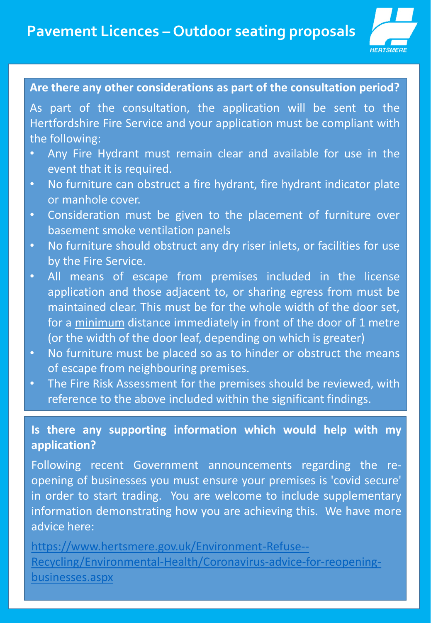

# **Are there any other considerations as part of the consultation period?**

As part of the consultation, the application will be sent to the Hertfordshire Fire Service and your application must be compliant with the following:

- Any Fire Hydrant must remain clear and available for use in the event that it is required.
- No furniture can obstruct a fire hydrant, fire hydrant indicator plate or manhole cover.
- Consideration must be given to the placement of furniture over basement smoke ventilation panels
- No furniture should obstruct any dry riser inlets, or facilities for use by the Fire Service.
- All means of escape from premises included in the license application and those adjacent to, or sharing egress from must be maintained clear. This must be for the whole width of the door set, for a minimum distance immediately in front of the door of 1 metre (or the width of the door leaf, depending on which is greater)
- No furniture must be placed so as to hinder or obstruct the means of escape from neighbouring premises.
- The Fire Risk Assessment for the premises should be reviewed, with reference to the above included within the significant findings.

# **Is there any supporting information which would help with my application?**

Following recent Government announcements regarding the reopening of businesses you must ensure your premises is 'covid secure' in order to start trading. You are welcome to include supplementary information demonstrating how you are achieving this. We have more advice here:

https://www.hertsmere.gov.uk/Environment-Refuse-- [Recycling/Environmental-Health/Coronavirus-advice-for-reopening](https://www.hertsmere.gov.uk/Environment-Refuse--Recycling/Environmental-Health/Coronavirus-advice-for-reopening-businesses.aspx)businesses.aspx